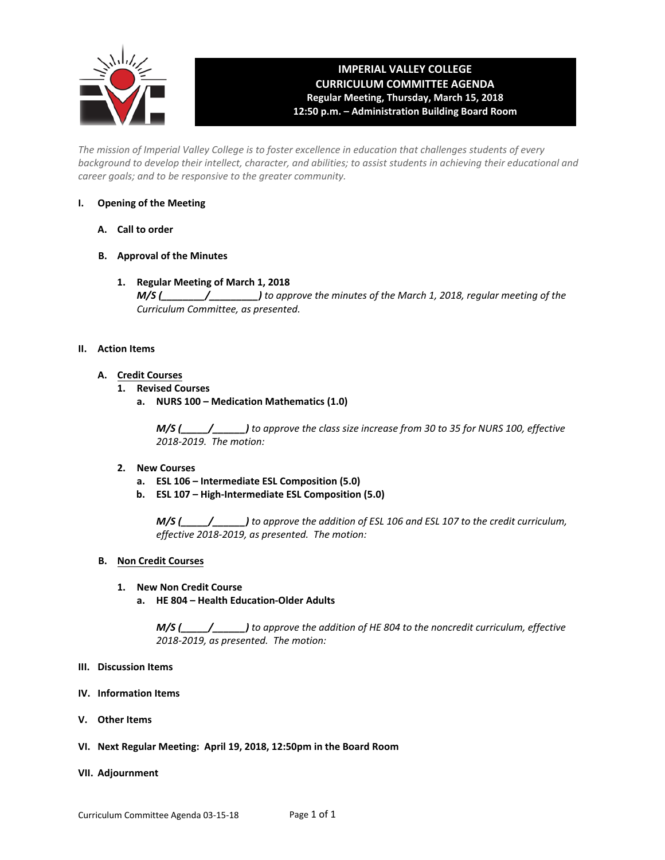

# **IMPERIAL VALLEY COLLEGE CURRICULUM COMMITTEE AGENDA Regular Meeting, Thursday, March 15, 2018 12:50 p.m. – Administration Building Board Room**

*The mission of Imperial Valley College is to foster excellence in education that challenges students of every background to develop their intellect, character, and abilities; to assist students in achieving their educational and career goals; and to be responsive to the greater community.*

## **I. Opening of the Meeting**

- **A. Call to order**
- **B. Approval of the Minutes**
	- **1. Regular Meeting of March 1, 2018** *M/S (\_\_\_\_\_\_\_\_/\_\_\_\_\_\_\_\_\_) to approve the minutes of the March 1, 2018, regular meeting of the Curriculum Committee, as presented.*

## **II. Action Items**

- **A. Credit Courses**
	- **1. Revised Courses**
		- **a. NURS 100 Medication Mathematics (1.0)**

*M/S (\_\_\_\_\_/\_\_\_\_\_\_) to approve the class size increase from 30 to 35 for NURS 100, effective 2018-2019. The motion:*

#### **2. New Courses**

- **a. ESL 106 Intermediate ESL Composition (5.0)**
- **b. ESL 107 High-Intermediate ESL Composition (5.0)**

*M/S (\_\_\_\_\_/\_\_\_\_\_\_) to approve the addition of ESL 106 and ESL 107 to the credit curriculum, effective 2018-2019, as presented. The motion:*

## **B. Non Credit Courses**

#### **1. New Non Credit Course**

**a. HE 804 – Health Education-Older Adults**

*M/S (\_\_\_\_\_/\_\_\_\_\_\_) to approve the addition of HE 804 to the noncredit curriculum, effective 2018-2019, as presented. The motion:*

- **III. Discussion Items**
- **IV. Information Items**
- **V. Other Items**
- **VI. Next Regular Meeting: April 19, 2018, 12:50pm in the Board Room**

#### **VII. Adjournment**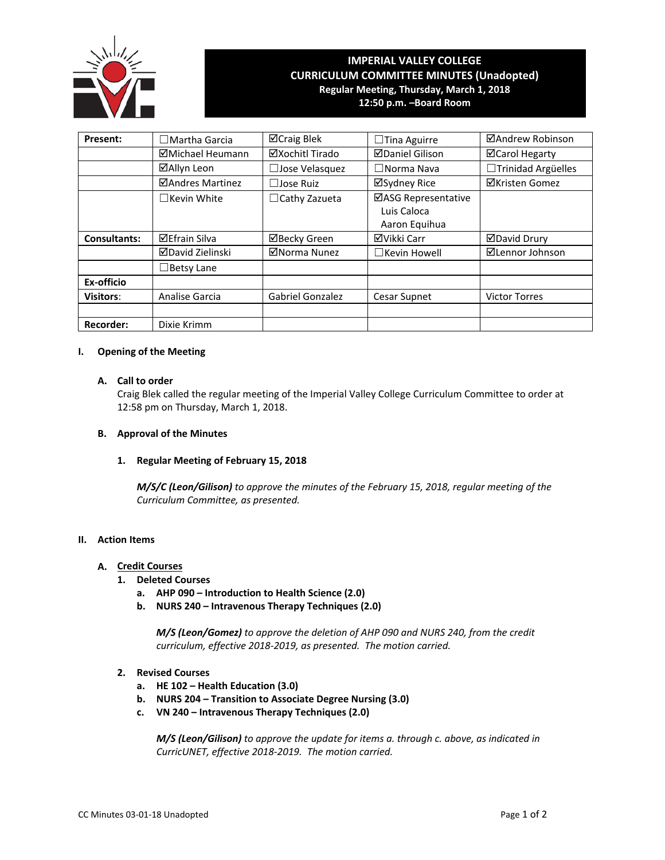

## **IMPERIAL VALLEY COLLEGE CURRICULUM COMMITTEE MINUTES (Unadopted) Regular Meeting, Thursday, March 1, 2018 12:50 p.m. –Board Room**

**Present:** │ □Martha Garcia │ ⊠Craig Blek │ □Tina Aguirre │ ⊠Andrew Robinson **ØMichael Heumann** | ØXochitl Tirado | ØDaniel Gilison | ØCarol Hegarty **☑Allyn Leon** │ □Jose Velasquez │ □Norma Nava │ □Trinidad Argüelles **ØAndres Martinez** │ □Jose Ruiz │ ØSydney Rice │ ØKristen Gomez ☐Kevin White ☐Cathy Zazueta ASG Representative Luis Caloca Aaron Equihua **Consultants:** 区Efrain Silva | ⊠Becky Green | ⊠Vikki Carr | ⊠David Drury **ØDavid Zielinski** │ ØNorma Nunez │ □Kevin Howell │ ØLennor Johnson ☐Betsy Lane **Ex-officio Visitors:** Analise Garcia | Gabriel Gonzalez | Cesar Supnet | Victor Torres **Recorder:** | Dixie Krimm

## **I. Opening of the Meeting**

## **A. Call to order**

Craig Blek called the regular meeting of the Imperial Valley College Curriculum Committee to order at 12:58 pm on Thursday, March 1, 2018.

#### **B. Approval of the Minutes**

#### **1. Regular Meeting of February 15, 2018**

*M/S/C (Leon/Gilison) to approve the minutes of the February 15, 2018, regular meeting of the Curriculum Committee, as presented.*

## **II. Action Items**

## **A. Credit Courses**

- **1. Deleted Courses**
	- **a. AHP 090 Introduction to Health Science (2.0)**
	- **b. NURS 240 Intravenous Therapy Techniques (2.0)**

*M/S (Leon/Gomez) to approve the deletion of AHP 090 and NURS 240, from the credit curriculum, effective 2018-2019, as presented. The motion carried.*

#### **2. Revised Courses**

- **a. HE 102 Health Education (3.0)**
- **b. NURS 204 Transition to Associate Degree Nursing (3.0)**
- **c. VN 240 Intravenous Therapy Techniques (2.0)**

*M/S (Leon/Gilison) to approve the update for items a. through c. above, as indicated in CurricUNET, effective 2018-2019. The motion carried.*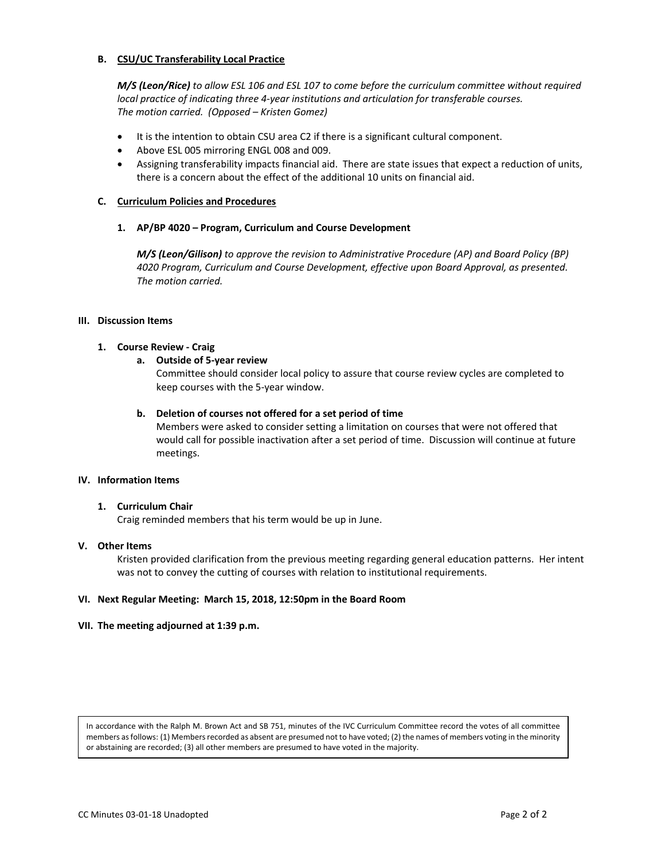## **B. CSU/UC Transferability Local Practice**

*M/S (Leon/Rice) to allow ESL 106 and ESL 107 to come before the curriculum committee without required local practice of indicating three 4-year institutions and articulation for transferable courses. The motion carried. (Opposed – Kristen Gomez)*

- It is the intention to obtain CSU area C2 if there is a significant cultural component.
- Above ESL 005 mirroring ENGL 008 and 009.
- Assigning transferability impacts financial aid. There are state issues that expect a reduction of units, there is a concern about the effect of the additional 10 units on financial aid.

#### **C. Curriculum Policies and Procedures**

#### **1. AP/BP 4020 – Program, Curriculum and Course Development**

*M/S (Leon/Gilison) to approve the revision to Administrative Procedure (AP) and Board Policy (BP) 4020 Program, Curriculum and Course Development, effective upon Board Approval, as presented. The motion carried.*

#### **III. Discussion Items**

## **1. Course Review - Craig**

#### **a. Outside of 5-year review**

Committee should consider local policy to assure that course review cycles are completed to keep courses with the 5-year window.

#### **b. Deletion of courses not offered for a set period of time**

Members were asked to consider setting a limitation on courses that were not offered that would call for possible inactivation after a set period of time. Discussion will continue at future meetings.

#### **IV. Information Items**

#### **1. Curriculum Chair**

Craig reminded members that his term would be up in June.

#### **V. Other Items**

Kristen provided clarification from the previous meeting regarding general education patterns. Her intent was not to convey the cutting of courses with relation to institutional requirements.

#### **VI. Next Regular Meeting: March 15, 2018, 12:50pm in the Board Room**

## **VII. The meeting adjourned at 1:39 p.m.**

In accordance with the Ralph M. Brown Act and SB 751, minutes of the IVC Curriculum Committee record the votes of all committee members as follows: (1) Members recorded as absent are presumed not to have voted; (2) the names of members voting in the minority or abstaining are recorded; (3) all other members are presumed to have voted in the majority.